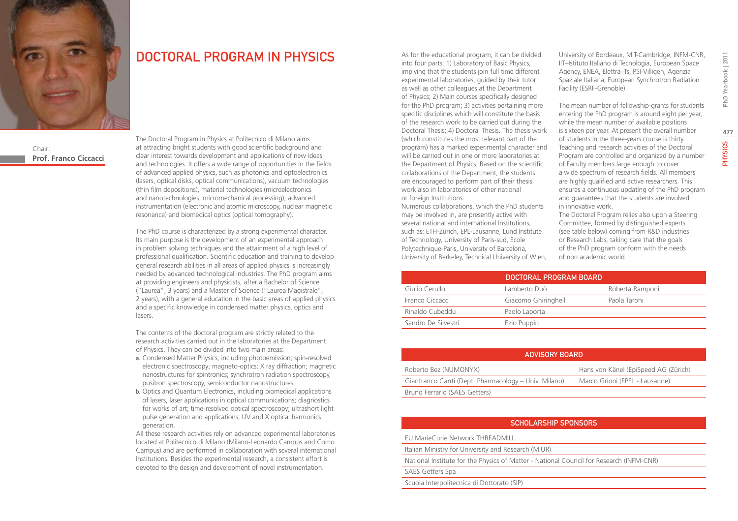

Chair: **Prof. Franco Ciccacci**

# DOCTORAL PROGRAM IN PHYSICS

The Doctoral Program in Physics at Politecnico di Milano aims at attracting bright students with good scientific background and clear interest towards development and applications of new ideas and technologies. It offers a wide range of opportunities in the fields of advanced applied physics, such as photonics and optoelectronics (lasers, optical disks, optical communications), vacuum technologies (thin film depositions), material technologies (microelectronics and nanotechnologies, micromechanical processing), advanced instrumentation (electronic and atomic microscopy, nuclear magnetic resonance) and biomedical optics (optical tomography).

The PhD course is characterized by a strong experimental character. Its main purpose is the development of an experimental approach in problem solving techniques and the attainment of a high level of professional qualification. Scientific education and training to develop general research abilities in all areas of applied physics is increasingly needed by advanced technological industries. The PhD program aims at providing engineers and physicists, after a Bachelor of Science ("Laurea", 3 years) and a Master of Science ("Laurea Magistrale", 2 years), with a general education in the basic areas of applied physics and a specific knowledge in condensed matter physics, optics and lasers.

The contents of the doctoral program are strictly related to the research activities carried out in the laboratories at the Department of Physics. They can be divided into two main areas:

- a. Condensed Matter Physics, including photoemission; spin-resolved electronic spectroscopy; magneto-optics; X ray diffraction; magnetic nanostructures for spintronics; synchrotron radiation spectroscopy, positron spectroscopy, semiconductor nanostructures.
- b. Optics and Quantum Electronics, including biomedical applications of lasers, laser applications in optical communications; diagnostics for works of art; time-resolved optical spectroscopy; ultrashort light pulse generation and applications; UV and X optical harmonics generation.

All these research activities rely on advanced experimental laboratories located at Politecnico di Milano (Milano-Leonardo Campus and Como Campus) and are performed in collaboration with several international Institutions. Besides the experimental research, a consistent effort is devoted to the design and development of novel instrumentation.

As for the educational program, it can be divided into four parts: 1) Laboratory of Basic Physics, implying that the students join full time different experimental laboratories, guided by their tutor as well as other colleagues at the Department of Physics; 2) Main courses specifically designed for the PhD program; 3) activities pertaining more specific disciplines which will constitute the basis of the research work to be carried out during the Doctoral Thesis; 4) Doctoral Thesis. The thesis work (which constitutes the most relevant part of the program) has a marked experimental character and will be carried out in one or more laboratories at the Department of Physics. Based on the scientific collaborations of the Department, the students are encouraged to perform part of their thesis work also in laboratories of other national or foreign Institutions.

Numerous collaborations, which the PhD students may be involved in, are presently active with several national and international Institutions, such as: ETH-Zürich, EPL-Lausanne, Lund Institute of Technology, University of Paris-sud, Ecole Polytechnique-Paris, University of Barcelona, University of Berkeley, Technical University of Wien, University of Bordeaux, MIT-Cambridge, INFM-CNR, IIT–Istituto Italiano di Tecnologia, European Space Agency, ENEA, Elettra–Ts, PSI-Villigen, Agenzia Spaziale Italiana, European Synchrotron Radiation Facility (ESRF-Grenoble).

The mean number of fellowship-grants for students entering the PhD program is around eight per year, while the mean number of available positions is sixteen per year. At present the overall number of students in the three-years course is thirty. Teaching and research activities of the Doctoral Program are controlled and organized by a number of Faculty members large enough to cover a wide spectrum of research fields. All members are highly qualified and active researchers. This ensures a continuous updating of the PhD program and guarantees that the students are involved in innovative work.

The Doctoral Program relies also upon a Steering Committee, formed by distinguished experts (see table below) coming from R&D industries or Research Labs, taking care that the goals of the PhD program conform with the needs of non academic world.

|                     | DOCTORAL PROGRAM BOARD |                 |
|---------------------|------------------------|-----------------|
| Giulio Cerullo      | Lamberto Duò           | Roberta Ramponi |
| Franco Ciccacci     | Giacomo Ghiringhelli   | Paola Taroni    |
| Rinaldo Cubeddu     | Paolo Laporta          |                 |
| Sandro De Silvestri | Ezio Puppin            |                 |

| ADVISORY BOARD                                       |                                      |  |
|------------------------------------------------------|--------------------------------------|--|
| Roberto Bez (NUMONYX)                                | Hans von Känel (EpiSpeed AG (Zürich) |  |
| Gianfranco Canti (Dept. Pharmacology – Univ. Milano) | Marco Grioni (EPFL - Lausanne)       |  |
| Bruno Ferrario (SAES Getters)                        |                                      |  |

## SCHOLARSHIP SPONSORS

EU MarieCurie Network THREADMILL

Italian Ministry for University and Research (MIUR)

National Institute for the Physics of Matter - National Council for Research (INFM-CNR)

SAES Getters Spa

Scuola Interpolitecnica di Dottorato (SIP)

**477**

**PHYSICS**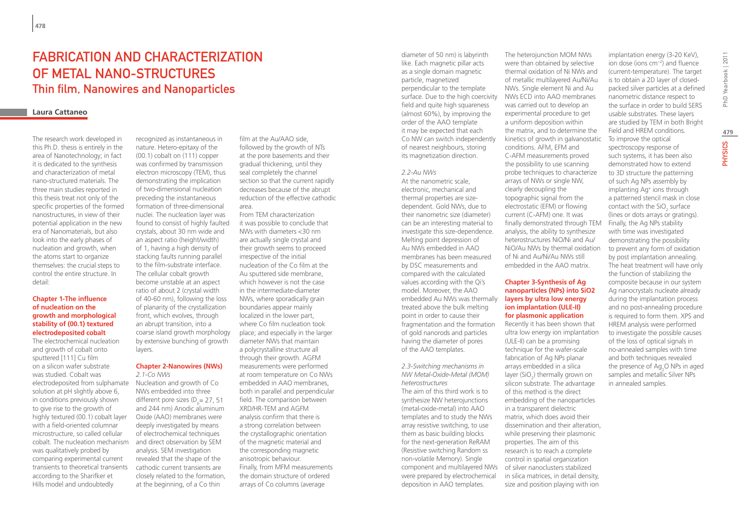# Fabrication and characterization of metal nano-structures Thin film, Nanowires and Nanoparticles

### **Laura Cattaneo**

The research work developed in this Ph.D. thesis is entirely in the area of Nanotechnology; in fact it is dedicated to the synthesis and characterization of metal nano-structured materials. The three main studies reported in this thesis treat not only of the specific properties of the formed nanostructures, in view of their potential application in the new era of Nanomaterials, but also look into the early phases of nucleation and growth, when the atoms start to organize themselves: the crucial steps to control the entire structure. In detail:

#### **Chapter 1-The influence of nucleation on the growth and morphological stability of (00.1) textured electrodeposited cobalt**

The electrochemical nucleation and growth of cobalt onto sputtered [111] Cu film on a silicon wafer substrate was studied. Cobalt was electrodeposited from sulphamate solution at pH slightly above 6, in conditions previously shown to give rise to the growth of highly textured (00.1) cobalt layer with a field-oriented columnar microstructure, so called cellular cobalt. The nucleation mechanism and direct observation by SEM was qualitatively probed by comparing experimental current transients to theoretical transients according to the Sharifker et Hills model and undoubtedly

recognized as instantaneous in nature. Hetero-epitaxy of the (00.1) cobalt on (111) copper was confirmed by transmission electron microscopy (TEM), thus demonstrating the implication of two-dimensional nucleation preceding the instantaneous formation of three-dimensional nuclei. The nucleation layer was found to consist of highly faulted crystals, about 30 nm wide and an aspect ratio (height/width) of 1, having a high density of stacking faults running parallel to the film-substrate interface. The cellular cobalt growth become unstable at an aspect ratio of about 2 (crystal width of 40-60 nm), following the loss of planarity of the crystallization front, which evolves, through an abrupt transition, into a coarse island growth morphology by extensive bunching of growth layers.

#### **Chapter 2-Nanowires (NWs)** *2.1-Co NWs*

Nucleation and growth of Co NWs embedded into three different pore sizes ( $D_p$  = 27, 51 and 244 nm) Anodic aluminum Oxide (AAO) membranes were deeply investigated by means of electrochemical techniques analysis. SEM investigation revealed that the shape of the cathodic current transients are closely related to the formation, at the beginning, of a Co thin

film at the Au/AAO side followed by the growth of NTs at the pore basements and their gradual thickening, until they seal completely the channel section so that the current rapidly decreases because of the abrupt reduction of the effective cathodic area.

From TEM characterization it was possible to conclude that NWs with diameters <30 nm are actually single crystal and their growth seems to proceed irrespective of the initial nucleation of the Co film at the Au sputtered side membrane, which however is not the case in the intermediate-diameter NWs, where sporadically grain boundaries appear mainly localized in the lower part, where Co film nucleation took place; and especially in the larger diameter NWs that maintain a polycrystalline structure all through their growth. AGFM measurements were performed at room temperature on Co NWs embedded in AAO membranes, both in parallel and perpendicular field. The comparison between XRD/HR-TEM and AGFM analysis confirm that there is a strong correlation between the crystallographic orientation of the magnetic material and the corresponding magnetic anisotropic behaviour. Finally, from MFM measurements the domain structure of ordered arrays of Co columns (average

diameter of 50 nm) is labyrinth like. Each magnetic pillar acts as a single domain magnetic particle, magnetized perpendicular to the template surface. Due to the high coercivity field and quite high squareness (almost 60%), by improving the order of the AAO template it may be expected that each Co NW can switch independently of nearest neighbours, storing its magnetization direction.

#### *2.2-Au NWs*

At the nanometric scale, electronic, mechanical and thermal properties are sizedependent. Gold NWs, due to their nanometric size (diameter) can be an interesting material to investigate this size-dependence. Melting point depression of Au NWs embedded in AAO membranes has been measured by DSC measurements and compared with the calculated values according with the Qi's model. Moreover, the AAO embedded Au NWs was thermally treated above the bulk melting point in order to cause their fragmentation and the formation of gold nanorods and particles having the diameter of pores of the AAO templates.

*2.3-Switching mechanisms in NW Metal-Oxide-Metal (MOM) heterostructures* The aim of this third work is to synthesize NW heterojunctions (metal-oxide-metal) into AAO templates and to study the NWs array resistive switching, to use them as basic building blocks for the next-generation ReRAM (Resistive switching Random ss non-volatile Memory). Single component and multilayered NWs of silver nanoclusters stabilized were prepared by electrochemical deposition in AAO templates.

The heterojunction MOM NWs were than obtained by selective thermal oxidation of Ni NWs and of metallic multilayered Au/Ni/Au NWs. Single element Ni and Au NWs ECD into AAO membranes was carried out to develop an experimental procedure to get a uniform deposition within the matrix, and to determine the kinetics of growth in galvanostatic conditions. AFM, EFM and C-AFM measurements proved the possibility to use scanning probe techniques to characterize arrays of NWs or single NW, clearly decoupling the topographic signal from the electrostatic (EFM) or flowing current (C-AFM) one. It was finally demonstrated through TEM analysis, the ability to synthesize heterostructures NiO/Ni and Au/ NiO/Au NWs by thermal oxidation of Ni and Au/Ni/Au NWs still embedded in the AAO matrix.

#### **Chapter 3-Synthesis of Ag nanoparticles (NPs) into SiO2 layers by ultra low energy ion implantation (ULE-II) for plasmonic application**

Recently it has been shown that ultra low energy ion implantation (ULE-II) can be a promising technique for the wafer-scale fabrication of Ag NPs planar arrays embedded in a silica layer  $(SiO_2)$  thermally grown on silicon substrate. The advantage of this method is the direct embedding of the nanoparticles in a transparent dielectric matrix, which does avoid their dissemination and their alteration, while preserving their plasmonic properties. The aim of this research is to reach a complete control in spatial organization in silica matrices, in detail density, size and position playing with ion

implantation energy (3-20 KeV), ion dose (ions cm−2) and fluence (current-temperature). The target is to obtain a 2D layer of closedpacked silver particles at a defined nanometric distance respect to the surface in order to build SERS usable substrates. These layers are studied by TEM in both Bright Field and HREM conditions. To improve the optical spectroscopy response of such systems, it has been also demonstrated how to extend to 3D structure the patterning of such Ag NPs assembly by implanting Ag+ ions through a patterned stencil mask in close contact with the  $SiO<sub>2</sub>$  surface (lines or dots arrays or gratings). Finally, the Ag NPs stability with time was investigated demonstrating the possibility to prevent any form of oxidation by post implantation annealing. The heat treatment will have only the function of stabilizing the composite because in our system Ag nanocrystals nucleate already during the implantation process and no post-annealing procedure is required to form them. XPS and HREM analysis were performed to investigate the possible causes of the loss of optical signals in no-annealed samples with time and both techniques revealed the presence of  $Ag_2O$  NPs in aged samples and metallic Silver NPs in annealed samples.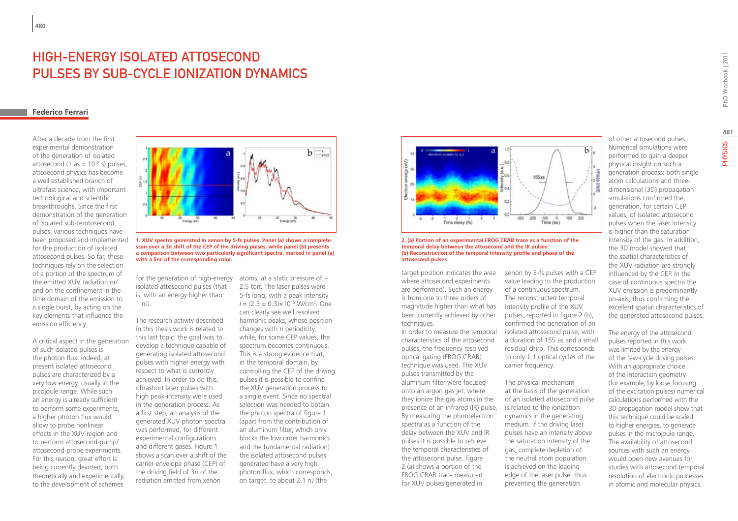# High-energy isolated attosecond pulses by sub-cycle ionization dynamics

#### **Federico Ferrari**

After a decade from the first experimental demonstration of the generation of isolated attosecond (1 as  $= 10^{18}$  s) pulses. attosecond physics has become a well established branch of ultrafast science, with important technological and scientific breakthroughs. Since the first demonstration of the generation of isolated sub-femtosecond pulses, various techniques have been proposed and implemented for the production of isolated attosecond pulses. So far, these techniques rely on the selection of a portion of the spectrum of the emitted XUV radiation or/ and on the confinement in the time domain of the emission to a single burst, by acting on the key elements that influence the emission efficiency.

A critical aspect in the generation of such isolated pulses is the photon flux: indeed, at present isolated attosecond pulses are characterized by a very low energy, usually in the picojoule range. While such an energy is already sufficient to perform some experiments, a higher photon flux would allow to probe nonlinear effects in the XUV region and to perform attosecond-pump/ attosecond-probe experiments. For this reason, great effort is being currently devoted, both theoretically and experimentally, to the development of schemes



**1. XUV spectra generated in xenon by 5-fs pulses. Panel (a) shows a complete scan over a 3π shift of the CEP of the driving pulses, while panel (b) presents a comparison between two particularly significant spectra, marked in panel (a) with a line of the corresponding color.**

for the generation of high-energy isolated attosecond pulses (that is, with an energy higher than 1 nJ).

The research activity described in this thesis work is related to this last topic: the goal was to develop a technique capable of generating isolated attosecond pulses with higher energy with respect to what is currently achieved. In order to do this, ultrashort laser pulses with high peak-intensity were used in the generation process. As a first step, an analysis of the generated XUV photon spectra was performed, for different experimental configurations and different gases. Figure 1 shows a scan over a shift of the carrier-envelope phase (CEP) of the driving field of 3π of the radiation emitted from xenon

atoms, at a static pressure of  $\sim$ 2.5 torr. The laser pulses were 5-fs long, with a peak intensity *I* = (2.3 ± 0.3)×1015 W/cm2 *.* One can clearly see well resolved harmonic peaks, whose position changes with  $\pi$  periodicity, while, for some CEP values, the spectrum becomes continuous. This is a strong evidence that, in the temporal domain, by controlling the CEP of the driving pulses it is possible to confine the XUV generation process to a single event. Since no spectral selection was needed to obtain the photon spectra of figure 1 (apart from the contribution of an aluminum filter, which only blocks the low order harmonics and the fundamental radiation) the isolated attosecond pulses generated have a very high photon flux, which corresponds, on target, to about 2.1 nJ (the



**2. (a) Portion of an experimental FROG CRAB trace as a function of the temporal delay between the attosecond and the IR pulses. (b) Reconstruction of the temporal intensity profile and phase of the attosecond pulses**

target position indicates the area where attosecond experiments are performed). Such an energy is from one to three orders of magnitude higher than what has been currently achieved by other techniques.

presence of an infrared (IR) pulse. is related to the ionization In order to measure the temporal characteristics of the attosecond pulses, the frequency resolved optical gating (FROG CRAB) technique was used. The XUV pulses transmitted by the aluminum filter were focused onto an argon gas jet, where they ionize the gas atoms in the By measuring the photoelectron spectra as a function of the delay between the XUV and IR pulses it is possible to retrieve the temporal characteristics of the attosecond pulse. Figure 2 (a) shows a portion of the FROG CRAB trace measured for XUV pulses generated in

xenon by 5-fs pulses with a CEP value leading to the production of a continuous spectrum. The reconstructed temporal intensity profile of the XUV pulses, reported in figure 2 (b), confirmed the generation of an isolated attosecond pulse, with a duration of 155 as and a small residual chirp. This corresponds to only 1.1 optical cycles of the carrier frequency.

The physical mechanism at the basis of the generation of an isolated attosecond pulse dynamics in the generating medium. If the driving laser pulses have an intensity above the saturation intensity of the gas, complete depletion of the neutral atom population is achieved on the leading edge of the laser pulse, thus preventing the generation

of other attosecond pulses. Numerical simulations were performed to gain a deeper physical insight on such a generation process: both single atom calculations and threedimensional (3D) propagation simulations confirmed the generation, for certain CEP values, of isolated attosecond pulses when the laser intensity is higher than the saturation intensity of the gas. In addition, the 3D model showed that the spatial characteristics of the XUV radiation are strongly influenced by the CEP. In the case of continuous spectra the XUV emission is predominantly on-axis, thus confirming the excellent spatial characteristics of the generated attosecond pulses.

The energy of the attosecond pulses reported in this work was limited by the energy of the few-cycle driving pulses. With an appropriate choice of the interaction geometry (for example, by loose focusing of the excitation pulses) numerical calculations performed with the 3D propagation model show that this technique could be scaled to higher energies, to generate pulses in the microjoule range. The availability of attosecond sources with such an energy would open new avenues for studies with attosecond temporal resolution of electronic processes in atomic and molecular physics.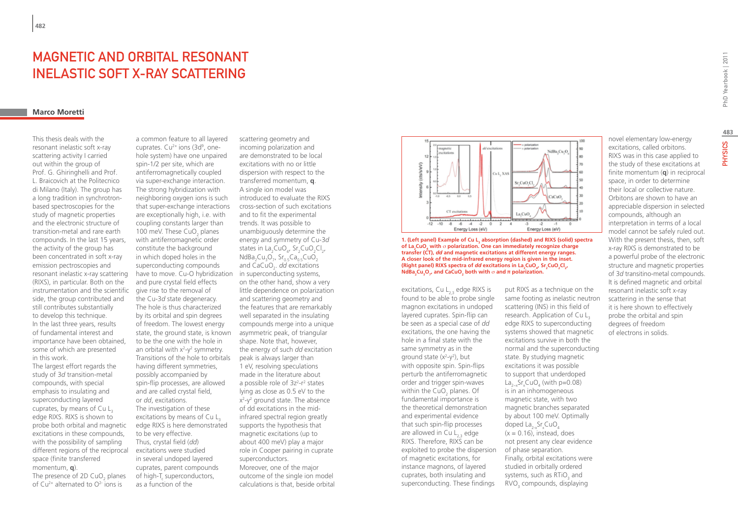# Magnetic and orbital resonant inelastic soft x-ray scattering

### **Marco Moretti**

This thesis deals with the resonant inelastic soft x-ray scattering activity I carried out within the group of Prof. G. Ghiringhelli and Prof. L. Braicovich at the Politecnico di Milano (Italy). The group has a long tradition in synchrotronbased spectroscopies for the study of magnetic properties and the electronic structure of transition-metal and rare earth compounds. In the last 15 years, the activity of the group has been concentrated in soft x-ray emission pectroscopies and resonant inelastic x-ray scattering (RIXS), in particular. Both on the instrumentation and the scientific side, the group contributed and still contributes substantially to develop this technique. In the last three years, results of fundamental interest and importance have been obtained, some of which are presented in this work.

The largest effort regards the study of 3*d* transition-metal compounds, with special emphasis to insulating and superconducting layered cuprates, by means of Cu  $L<sub>3</sub>$ edge RIXS. RIXS is shown to probe both orbital and magnetic excitations in these compounds, with the possibility of sampling different regions of the reciprocal space (finite transferred momentum, **q**).

The presence of 2D CuO<sub>2</sub> planes of  $Cu^{2+}$  alternated to  $O^{2-}$  ions is

a common feature to all layered cuprates.  $Cu^{2+}$  ions (3d<sup>9</sup>, onehole system) have one unpaired spin-1/2 per site, which are antiferromagnetically coupled via super-exchange interaction. The strong hybridization with neighboring oxygen ions is such that super-exchange interactions are exceptionally high, i.e. with coupling constants larger than 100 meV. These CuO<sub>2</sub> planes with antiferromagnetic order constitute the background in which doped holes in the superconducting compounds have to move. Cu-O hybridization in superconducting systems, and pure crystal field effects give rise to the removal of the Cu-3*d* state degeneracy. The hole is thus characterized by its orbital and spin degrees of freedom. The lowest energy state, the ground state, is known to be the one with the hole in an orbital with  $x^2-y^2$  symmetry. Transitions of the hole to orbitals having different symmetries, possibly accompanied by spin-flip processes, are allowed and are called crystal field, or *dd*, excitations. The investigation of these excitations by means of  $Cu$   $L<sub>3</sub>$ edge RIXS is here demonstrated to be very effective. Thus, crystal field (*dd*) excitations were studied in several undoped layered cuprates, parent compounds of high-T superconductors, as a function of the

scattering geometry and incoming polarization and are demonstrated to be local excitations with no or little dispersion with respect to the transferred momentum, **q**. A single ion model was introduced to evaluate the RIXS cross-section of such excitations and to fit the experimental trends. It was possible to unambiguously determine the energy and symmetry of Cu-3*d* states in  $La_2CuO_4$ ,  $Sr_2CuO_2Cl_2$ ,  $\mathsf{NdBa_2Cu_3O_7}$ ,  $\mathsf{Sr_{0.5}Ca_{0.5}CuO_2}$ and CaCuO<sub>2</sub>. *dd* excitations on the other hand, show a very little dependence on polarization and scattering geometry and the features that are remarkably well separated in the insulating compounds merge into a unique asymmetric peak, of triangular shape. Note that, however, the energy of such *dd* excitation peak is always larger than 1 eV, resolving speculations made in the literature about a possible role of 3z<sup>2</sup>-r<sup>2</sup> states lying as close as 0.5 eV to the x<sup>2</sup>-y<sup>2</sup> ground state. The absence of dd excitations in the midinfrared spectral region greatly supports the hypothesis that magnetic excitations (up to about 400 meV) play a major role in Cooper pairing in cuprate superconductors. Moreover, one of the major outcome of the single ion model calculations is that, beside orbital



**1. (Left panel) Example of Cu L<sub>3</sub> absorption (dashed) and RIXS (solid) spectra of La<sub>2</sub>CuO<sub>4</sub> with**  $\sigma$  **polarization. One can immediately recognize charge transfer (CT),** *dd* **and magnetic excitations at different energy ranges. A closer look of the mid-infrared energy region is given in the inset. (Right panel) RIXS spectra of** *dd* **excitations in La<sub>2</sub>CuO<sub>4</sub>, Sr<sub>2</sub>CuO<sub>2</sub>Cl<sub>2</sub>,**  $N$ dBa<sub>2</sub>Cu<sub>3</sub>O<sub>7</sub>, and CaCuO<sub>2</sub> both with  $\sigma$  and  $\pi$  polarization.

excitations, Cu L<sub>2</sub>, edge RIXS is found to be able to probe single magnon excitations in undoped layered cuprates. Spin-flip can be seen as a special case of *dd* excitations, the one having the hole in a final state with the same symmetry as in the ground state  $(x^2-y^2)$ , but with opposite spin. Spin-flips perturb the antiferromagnetic order and trigger spin-waves within the CuO<sub>2</sub> planes. Of fundamental importance is the theoretical demonstration and experimental evidence that such spin-flip processes are allowed in  $Cu L<sub>2</sub>$ , edge RIXS. Therefore, RIXS can be exploited to probe the dispersion of magnetic excitations, for instance magnons, of layered cuprates, both insulating and superconducting. These findings

put RIXS as a technique on the same footing as inelastic neutron scattering (INS) in this field of research. Application of Cu L<sub>3</sub> edge RIXS to superconducting systems showed that magnetic excitations survive in both the normal and the superconducting state. By studying magnetic excitations it was possible to support that underdoped La<sub>2−x</sub>Sr<sub>x</sub>CuO<sub>4</sub> (with p=0.08) is in an inhomogeneous magnetic state, with two magnetic branches separated by about 100 meV. Optimally doped  $\text{La}_{2-x}$ Sr<sub>x</sub>CuO<sub>4</sub>  $(x = 0.16)$ , instead, does not present any clear evidence of phase separation. Finally, orbital excitations were studied in orbitally ordered systems, such as  $RTiO_3$  and  $\text{RVO}_3$  compounds, displaying

novel elementary low-energy excitations, called orbitons. RIXS was in this case applied to the study of these excitations at finite momentum (**q**) in reciprocal space, in order to determine their local or collective nature. Orbitons are shown to have an appreciable dispersion in selected compounds, although an interpretation in terms of a local model cannot be safely ruled out. With the present thesis, then, soft x-ray RIXS is demonstrated to be a powerful probe of the electronic structure and magnetic properties of 3*d* transitino-metal compounds. It is defined magnetic and orbital resonant inelastic soft x-ray scattering in the sense that it is here shown to effectively probe the orbital and spin degrees of freedom of electrons in solids.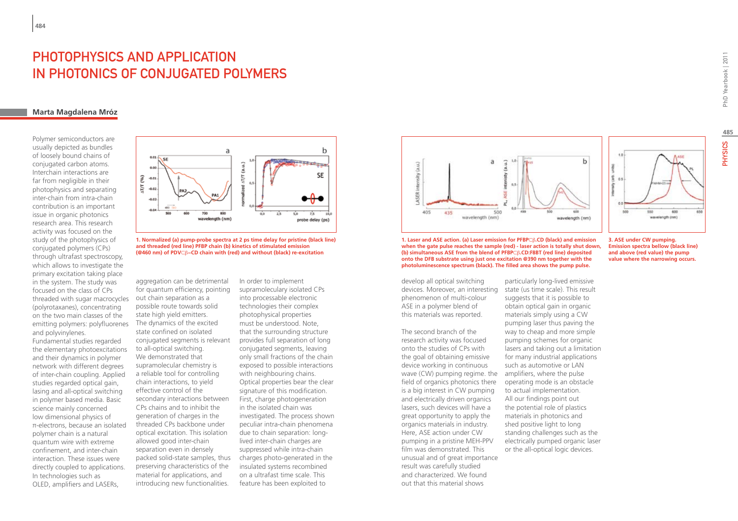# PHOTOPHYSICS AND APPLICATION in Photonics of Conjugated Polymers

### **Marta Magdalena Mróz**

Polymer semiconductors are usually depicted as bundles of loosely bound chains of conjugated carbon atoms. Interchain interactions are far from negligible in their photophysics and separating inter-chain from intra-chain contribution is an important issue in organic photonics research area. This research activity was focused on the study of the photophysics of conjugated polymers (CPs) through ultrafast spectroscopy, which allows to investigate the primary excitation taking place in the system. The study was focused on the class of CPs threaded with sugar macrocycles (polyrotaxanes), concentrating on the two main classes of the emitting polymers: polyfluorenes The dynamics of the excited and polyvinylenes.

Fundamental studies regarded the elementary photoexcitations and their dynamics in polymer network with different degrees of inter-chain coupling. Applied studies regarded optical gain, lasing and all-optical switching in polymer based media. Basic science mainly concerned low dimensional physics of π-electrons, because an isolated polymer chain is a natural quantum wire with extreme confinement, and inter-chain interaction. These issues were directly coupled to applications. In technologies such as OLED, amplifiers and LASERs,



**1. Normalized (a) pump-probe spectra at 2 ps time delay for pristine (black line) and threaded (red line) PFBP chain (b) kinetics of stimulated emission (@460 nm) of PDV**⊂β**−CD chain with (red) and without (black) re-excitation**

aggregation can be detrimental for quantum efficiency, pointing out chain separation as a possible route towards solid state high yield emitters. state confined on isolated conjugated segments is relevant to all-optical switching. We demonstrated that supramolecular chemistry is a reliable tool for controlling chain interactions, to yield effective control of the secondary interactions between CPs chains and to inhibit the generation of charges in the threaded CPs backbone under optical excitation. This isolation allowed good inter-chain separation even in densely packed solid-state samples, thus preserving characteristics of the material for applications, and introducing new functionalities.

In order to implement supramoleculary isolated CPs into processable electronic technologies their complex photophysical properties must be understood. Note, that the surrounding structure provides full separation of long conjugated segments, leaving only small fractions of the chain exposed to possible interactions with neighbouring chains. Optical properties bear the clear signature of this modification. First, charge photogeneration in the isolated chain was investigated. The process shown peculiar intra-chain phenomena due to chain separation: longlived inter-chain charges are suppressed while intra-chain charges photo-generated in the insulated systems recombined on a ultrafast time scale. This feature has been exploited to



**1. Laser and ASE action. (a) Laser emission for PFBP**⊂β**.CD (black) and emission when the gate pulse reaches the sample (red) - laser action is totally shut down, (b) simultaneous ASE from the blend of PFBP**⊂β**.CD:F8BT (red line) deposited onto the DFB substrate using just one excitation @390 nm together with the photoluminescence spectrum (black). The filled area shows the pump pulse.**

develop all optical switching phenomenon of multi-colour ASE in a polymer blend of this materials was reported.

The second branch of the research activity was focused onto the studies of CPs with the goal of obtaining emissive device working in continuous wave (CW) pumping regime. the field of organics photonics there is a big interest in CW pumping and electrically driven organics lasers, such devices will have a great opportunity to apply the organics materials in industry. Here, ASE action under CW pumping in a pristine MEH-PPV film was demonstrated. This unusual and of great importance result was carefully studied and characterized. We found out that this material shows

devices. Moreover, an interesting state (us time scale). This result particularly long-lived emissive suggests that it is possible to obtain optical gain in organic materials simply using a CW pumping laser thus paving the way to cheap and more simple pumping schemes for organic lasers and taking out a limitation for many industrial applications such as automotive or LAN amplifiers, where the pulse operating mode is an obstacle to actual implementation. All our findings point out the potential role of plastics materials in photonics and shed positive light to long standing challenges such as the electrically pumped organic laser or the all-optical logic devices.

**3. ASE under CW pumping. Emission spectra bellow (black line) and above (red value) the pump value where the narrowing occurs.**

**485**

**PHYSICS** 

550  $600$ wavelength (nm)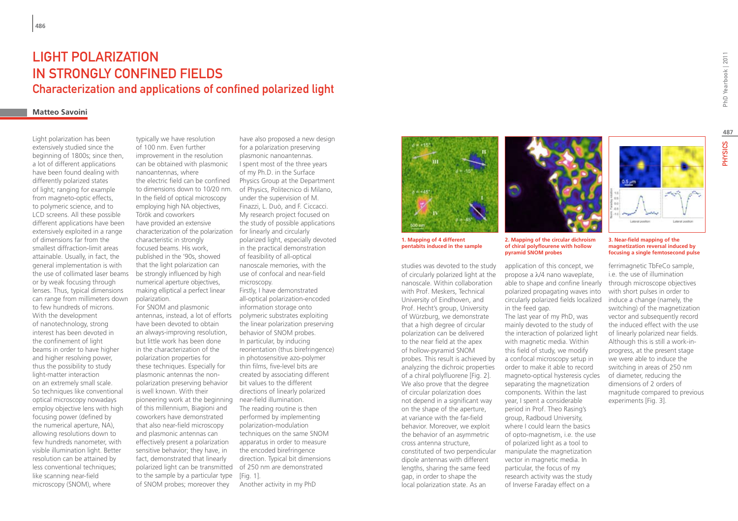# Light polarization in strongly confined fields Characterization and applications of confined polarized light

### **Matteo Savoini**

Light polarization has been extensively studied since the beginning of 1800s; since then, a lot of different applications have been found dealing with differently polarized states of light; ranging for example from magneto-optic effects, to polymeric science, and to LCD screens. All these possible different applications have been extensively exploited in a range of dimensions far from the smallest diffraction-limit areas attainable. Usually, in fact, the general implementation is with the use of collimated laser beams or by weak focusing through lenses. Thus, typical dimensions can range from millimeters down to few hundreds of microns. With the development of nanotechnology, strong interest has been devoted in the confinement of light beams in order to have higher and higher resolving power, thus the possibility to study light-matter interaction on an extremely small scale. So techniques like conventional optical microscopy nowadays employ objective lens with high focusing power (defined by the numerical aperture, NA), allowing resolutions down to few hundreds nanometer, with visible illumination light. Better resolution can be attained by less conventional techniques; like scanning near-field microscopy (SNOM), where

typically we have resolution of 100 nm. Even further improvement in the resolution can be obtained with plasmonic nanoantennas, where the electric field can be confined to dimensions down to 10/20 nm. In the field of optical microscopy employing high NA objectives, Török and coworkers have provided an extensive characterization of the polarization characteristic in strongly focused beams. His work, published in the '90s, showed that the light polarization can be strongly influenced by high numerical aperture objectives, making elliptical a perfect linear polarization.

For SNOM and plasmonic antennas, instead, a lot of efforts have been devoted to obtain an always-improving resolution, but little work has been done in the characterization of the polarization properties for these techniques. Especially for plasmonic antennas the nonpolarization preserving behavior is well known. With their pioneering work at the beginning of this millennium, Biagioni and coworkers have demonstrated that also near-field microscopy and plasmonic antennas can effectively present a polarization sensitive behavior; they have, in fact, demonstrated that linearly polarized light can be transmitted of 250 nm are demonstrated to the sample by a particular type [Fig. 1]. of SNOM probes; moreover they

have also proposed a new design for a polarization preserving plasmonic nanoantennas. I spent most of the three years of my Ph.D. in the Surface Physics Group at the Department of Physics, Politecnico di Milano, under the supervision of M. Finazzi, L. Duò, and F. Ciccacci. My research project focused on the study of possible applications for linearly and circularly polarized light, especially devoted in the practical demonstration of feasibility of all-optical nanoscale memories, with the use of confocal and near-field microscopy. Firstly, I have demonstrated

all-optical polarization-encoded information storage onto polymeric substrates exploiting the linear polarization preserving behavior of SNOM probes. In particular, by inducing reorientation (thus birefringence) in photosensitive azo-polymer thin films, five-level bits are created by associating different bit values to the different directions of linearly polarized near-field illumination. The reading routine is then performed by implementing polarization-modulation techniques on the same SNOM apparatus in order to measure the encoded birefringence direction. Typical bit dimensions

Another activity in my PhD



**1. Mapping of 4 different pentabits induced in the sample**

studies was devoted to the study of circularly polarized light at the nanoscale. Within collaboration with Prof. Meskers, Technical University of Eindhoven, and Prof. Hecht's group, University of Würzburg, we demonstrate that a high degree of circular polarization can be delivered to the near field at the apex of hollow-pyramid SNOM probes. This result is achieved by analyzing the dichroic properties of a chiral polyfluorene [Fig. 2]. We also prove that the degree of circular polarization does not depend in a significant way on the shape of the aperture, at variance with the far-field behavior. Moreover, we exploit the behavior of an asymmetric cross antenna structure, constituted of two perpendicular dipole antennas with different lengths, sharing the same feed gap, in order to shape the local polarization state. As an



**2. Mapping of the circular dichroism of chiral polyflourene with hollow pyramid SNOM probes**

application of this concept, we propose a λ/4 nano waveplate, able to shape and confine linearly polarized propagating waves into circularly polarized fields localized in the feed gap. The last year of my PhD, was mainly devoted to the study of the interaction of polarized light with magnetic media. Within this field of study, we modify a confocal microscopy setup in order to make it able to record magneto-optical hysteresis cycles separating the magnetization components. Within the last year, I spent a considerable period in Prof. Theo Rasing's group, Radboud University, where I could learn the basics of opto-magnetism, i.e. the use of polarized light as a tool to manipulate the magnetization vector in magnetic media. In particular, the focus of my research activity was the study of Inverse Faraday effect on a

Laborat boothis

#### **3. Near-field mapping of the magnetization reversal induced by focusing a single femtosecond pulse**

ferrimagnetic TbFeCo sample, i.e. the use of illumination through microscope objectives with short pulses in order to induce a change (namely, the switching) of the magnetization vector and subsequently record the induced effect with the use of linearly polarized near fields. Although this is still a work-inprogress, at the present stage we were able to induce the switching in areas of 250 nm of diameter, reducing the dimensions of 2 orders of magnitude compared to previous experiments [Fig. 3].

**487**

PHYSICS